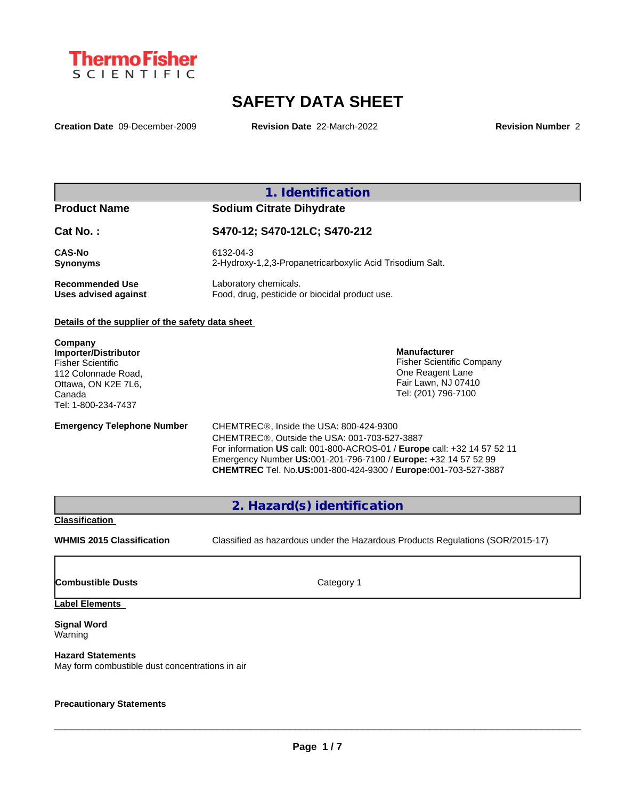

# **SAFETY DATA SHEET**

**Creation Date** 09-December-2009 **Revision Date** 22-March-2022 **Revision Number** 2

### **1. Identification**

## **Product Name Sodium Citrate Dihydrate**

| Cat No.:               | S470-12; S470-12LC; S470-212                              |  |
|------------------------|-----------------------------------------------------------|--|
| <b>CAS-No</b>          | 6132-04-3                                                 |  |
| <b>Synonyms</b>        | 2-Hydroxy-1,2,3-Propanetricarboxylic Acid Trisodium Salt. |  |
| <b>Recommended Use</b> | Laboratory chemicals.                                     |  |
| Uses advised against   | Food, drug, pesticide or biocidal product use.            |  |

#### **Details of the supplier of the safety data sheet**

**Company Importer/Distributor** Fisher Scientific 112 Colonnade Road, Ottawa, ON K2E 7L6, Canada Tel: 1-800-234-7437

**Emergency Telephone Number** CHEMTREC®, Inside the USA: 800-424-9300 CHEMTREC®, Outside the USA: 001-703-527-3887 One Reagent Lane Fair Lawn, NJ 07410 Tel: (201) 796-7100

**Manufacturer**

Fisher Scientific Company

For information **US** call: 001-800-ACROS-01 / **Europe** call: +32 14 57 52 11 Emergency Number **US:**001-201-796-7100 / **Europe:** +32 14 57 52 99 **CHEMTREC** Tel. No.**US:**001-800-424-9300 / **Europe:**001-703-527-3887

**2. Hazard(s) identification**

#### **Classification**

**WHMIS 2015 Classification** Classified as hazardous under the Hazardous Products Regulations (SOR/2015-17)

 $\_$  ,  $\_$  ,  $\_$  ,  $\_$  ,  $\_$  ,  $\_$  ,  $\_$  ,  $\_$  ,  $\_$  ,  $\_$  ,  $\_$  ,  $\_$  ,  $\_$  ,  $\_$  ,  $\_$  ,  $\_$  ,  $\_$  ,  $\_$  ,  $\_$  ,  $\_$  ,  $\_$  ,  $\_$  ,  $\_$  ,  $\_$  ,  $\_$  ,  $\_$  ,  $\_$  ,  $\_$  ,  $\_$  ,  $\_$  ,  $\_$  ,  $\_$  ,  $\_$  ,  $\_$  ,  $\_$  ,  $\_$  ,  $\_$  ,

**Combustible Dusts** Category 1

#### **Label Elements**

**Signal Word** Warning

## **Hazard Statements**

May form combustible dust concentrations in air

#### **Precautionary Statements**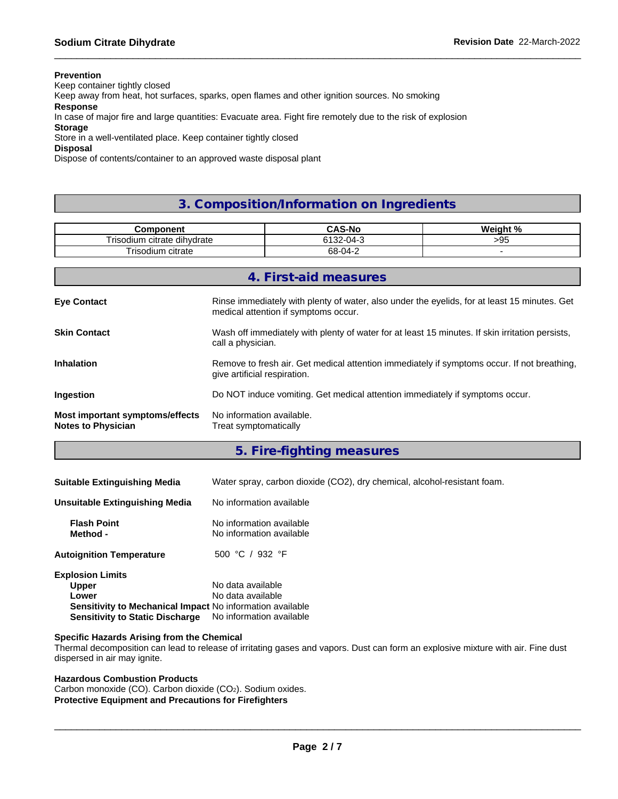#### **Prevention**

Keep container tightly closed

Keep away from heat, hot surfaces, sparks, open flames and other ignition sources. No smoking

**Response**

In case of major fire and large quantities: Evacuate area. Fight fire remotely due to the risk of explosion

#### **Storage**

Store in a well-ventilated place. Keep container tightly closed

#### **Disposal**

Dispose of contents/container to an approved waste disposal plant

## **3. Composition/Information on Ingredients**

| mnanani<br>116111                      | -NM<br>rac.          | Mainh40/ |
|----------------------------------------|----------------------|----------|
| dihvdrate<br>ہ دی ہ<br>citrate<br>munt | <b>0100</b><br>- ב⊿י | ገር<br>ں۔ |
| - -<br>citrate<br>i risodium           | $68-04-2$            |          |

|                                                                     | 4. First-aid measures                                                                                                                |
|---------------------------------------------------------------------|--------------------------------------------------------------------------------------------------------------------------------------|
| <b>Eye Contact</b>                                                  | Rinse immediately with plenty of water, also under the eyelids, for at least 15 minutes. Get<br>medical attention if symptoms occur. |
| <b>Skin Contact</b>                                                 | Wash off immediately with plenty of water for at least 15 minutes. If skin irritation persists,<br>call a physician.                 |
| <b>Inhalation</b>                                                   | Remove to fresh air. Get medical attention immediately if symptoms occur. If not breathing,<br>give artificial respiration.          |
| Ingestion                                                           | Do NOT induce vomiting. Get medical attention immediately if symptoms occur.                                                         |
| <b>Most important symptoms/effects</b><br><b>Notes to Physician</b> | No information available.<br>Treat symptomatically                                                                                   |

**5. Fire-fighting measures**

| <b>Suitable Extinguishing Media</b>                               | Water spray, carbon dioxide (CO2), dry chemical, alcohol-resistant foam. |  |  |
|-------------------------------------------------------------------|--------------------------------------------------------------------------|--|--|
| No information available<br><b>Unsuitable Extinguishing Media</b> |                                                                          |  |  |
| <b>Flash Point</b><br>Method -                                    | No information available<br>No information available                     |  |  |
| <b>Autoignition Temperature</b>                                   | 500 °C / 932 °F                                                          |  |  |
| <b>Explosion Limits</b>                                           |                                                                          |  |  |
| <b>Upper</b>                                                      | No data available                                                        |  |  |
| Lower                                                             | No data available                                                        |  |  |
| Sensitivity to Mechanical Impact No information available         |                                                                          |  |  |
| <b>Sensitivity to Static Discharge</b>                            | No information available                                                 |  |  |

#### **Specific Hazards Arising from the Chemical**

Thermal decomposition can lead to release of irritating gases and vapors. Dust can form an explosive mixture with air. Fine dust dispersed in air may ignite.

#### **Hazardous Combustion Products**

Carbon monoxide (CO). Carbon dioxide (CO2). Sodium oxides. **Protective Equipment and Precautions for Firefighters**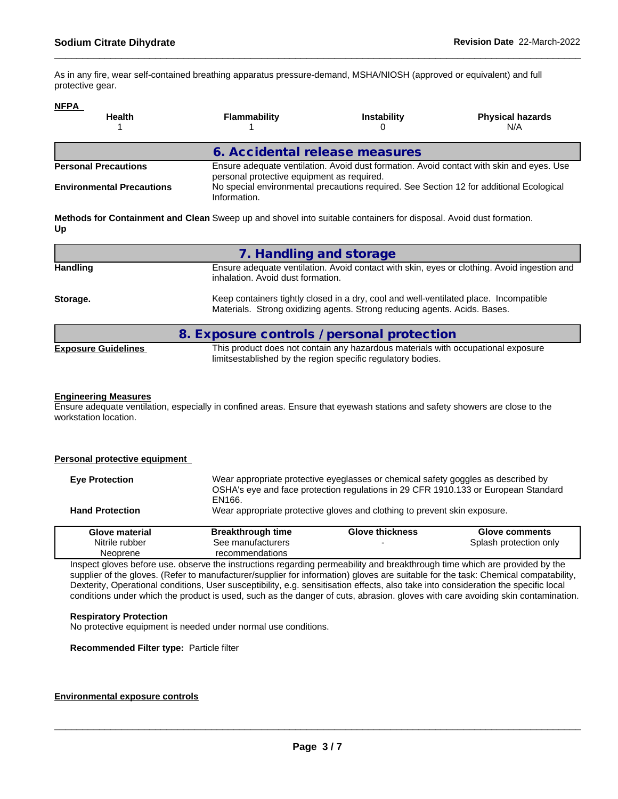As in any fire, wear self-contained breathing apparatus pressure-demand, MSHA/NIOSH (approved or equivalent) and full protective gear.

#### **NFPA**

| <b>Health</b>                    | <b>Flammability</b>                                                                                                                    | <b>Instability</b>                                                                      | <b>Physical hazards</b><br>N/A |
|----------------------------------|----------------------------------------------------------------------------------------------------------------------------------------|-----------------------------------------------------------------------------------------|--------------------------------|
|                                  | 6. Accidental release measures                                                                                                         |                                                                                         |                                |
| <b>Personal Precautions</b>      | Ensure adequate ventilation. Avoid dust formation. Avoid contact with skin and eyes. Use<br>personal protective equipment as required. |                                                                                         |                                |
| <b>Environmental Precautions</b> | Information.                                                                                                                           | No special environmental precautions required. See Section 12 for additional Ecological |                                |

**Methods for Containment and Clean** Sweep up and shovel into suitable containers for disposal. Avoid dust formation. **Up**

|                            | 7. Handling and storage                                                                                                                                            |
|----------------------------|--------------------------------------------------------------------------------------------------------------------------------------------------------------------|
| <b>Handling</b>            | Ensure adequate ventilation. Avoid contact with skin, eyes or clothing. Avoid ingestion and<br>inhalation. Avoid dust formation.                                   |
| Storage.                   | Keep containers tightly closed in a dry, cool and well-ventilated place. Incompatible<br>Materials. Strong oxidizing agents. Strong reducing agents. Acids. Bases. |
|                            | 8. Exposure controls / personal protection                                                                                                                         |
| <b>Exposure Guidelines</b> | This product does not contain any hazardous materials with occupational exposure<br>limitsestablished by the region specific regulatory bodies.                    |

#### **Engineering Measures**

Ensure adequate ventilation, especially in confined areas. Ensure that eyewash stations and safety showers are close to the workstation location.

| Personal protective equipment |                          |                                                                                   |                                                                                    |
|-------------------------------|--------------------------|-----------------------------------------------------------------------------------|------------------------------------------------------------------------------------|
| <b>Eve Protection</b>         | EN166.                   | Wear appropriate protective eyeglasses or chemical safety goggles as described by | OSHA's eye and face protection regulations in 29 CFR 1910.133 or European Standard |
| <b>Hand Protection</b>        |                          | Wear appropriate protective gloves and clothing to prevent skin exposure.         |                                                                                    |
| Glove material                | <b>Breakthrough time</b> | <b>Glove thickness</b>                                                            | <b>Glove comments</b>                                                              |
| Nitrile rubber                | See manufacturers        |                                                                                   | Splash protection only                                                             |
| Neoprene                      | recommendations          |                                                                                   |                                                                                    |

Inspect gloves before use. observe the instructions regarding permeability and breakthrough time which are provided by the supplier of the gloves. (Refer to manufacturer/supplier for information) gloves are suitable for the task: Chemical compatability, Dexterity, Operational conditions, User susceptibility, e.g. sensitisation effects, also take into consideration the specific local conditions under which the product is used, such as the danger of cuts, abrasion. gloves with care avoiding skin contamination.

#### **Respiratory Protection**

No protective equipment is needed under normal use conditions.

**Recommended Filter type:** Particle filter

#### **Environmental exposure controls**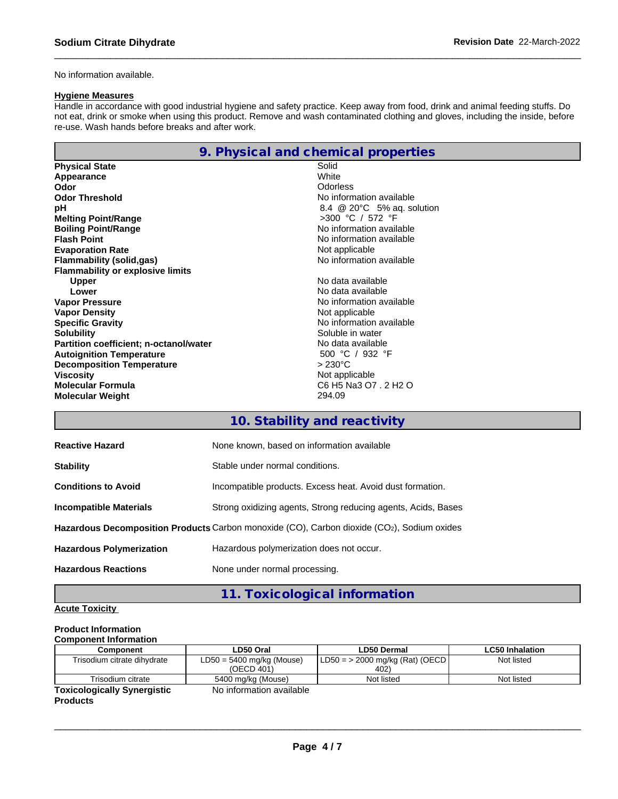No information available.

### **Hygiene Measures**

Handle in accordance with good industrial hygiene and safety practice. Keep away from food, drink and animal feeding stuffs. Do not eat, drink or smoke when using this product. Remove and wash contaminated clothing and gloves, including the inside, before re-use. Wash hands before breaks and after work.

|--|--|

| <b>Physical State</b>                         | Solid                           |  |  |
|-----------------------------------------------|---------------------------------|--|--|
| Appearance                                    | White                           |  |  |
| Odor                                          | <b>Odorless</b>                 |  |  |
| <b>Odor Threshold</b>                         | No information available        |  |  |
| рH                                            | 8.4 $@$ 20 $°C$ 5% ag. solution |  |  |
| <b>Melting Point/Range</b>                    | >300 °C / 572 °F                |  |  |
| <b>Boiling Point/Range</b>                    | No information available        |  |  |
| <b>Flash Point</b>                            | No information available        |  |  |
| <b>Evaporation Rate</b>                       | Not applicable                  |  |  |
| <b>Flammability (solid,gas)</b>               | No information available        |  |  |
| <b>Flammability or explosive limits</b>       |                                 |  |  |
| <b>Upper</b>                                  | No data available               |  |  |
| Lower                                         | No data available               |  |  |
| <b>Vapor Pressure</b>                         | No information available        |  |  |
| <b>Vapor Density</b>                          | Not applicable                  |  |  |
| <b>Specific Gravity</b>                       | No information available        |  |  |
| <b>Solubility</b>                             | Soluble in water                |  |  |
| <b>Partition coefficient; n-octanol/water</b> | No data available               |  |  |
| <b>Autoignition Temperature</b>               | 500 °C / 932 °F                 |  |  |
| <b>Decomposition Temperature</b>              | $>230^{\circ}$ C                |  |  |
| <b>Viscosity</b>                              | Not applicable                  |  |  |
| <b>Molecular Formula</b>                      | C6 H5 Na3 O7 . 2 H2 O           |  |  |
| <b>Molecular Weight</b>                       | 294.09                          |  |  |

## **10. Stability and reactivity**

| <b>Reactive Hazard</b>                                                                     | None known, based on information available                    |  |
|--------------------------------------------------------------------------------------------|---------------------------------------------------------------|--|
| <b>Stability</b>                                                                           | Stable under normal conditions.                               |  |
| <b>Conditions to Avoid</b>                                                                 | Incompatible products. Excess heat. Avoid dust formation.     |  |
| Incompatible Materials                                                                     | Strong oxidizing agents, Strong reducing agents, Acids, Bases |  |
| Hazardous Decomposition Products Carbon monoxide (CO), Carbon dioxide (CO2), Sodium oxides |                                                               |  |
| <b>Hazardous Polymerization</b>                                                            | Hazardous polymerization does not occur.                      |  |
| <b>Hazardous Reactions</b>                                                                 | None under normal processing.                                 |  |

**11. Toxicological information**

### **Acute Toxicity**

#### **Product Information Component Information**

| <b>COMPONEM MODEL</b>              |                                           |                                            |                 |
|------------------------------------|-------------------------------------------|--------------------------------------------|-----------------|
| Component                          | LD50 Oral                                 | LD50 Dermal                                | LC50 Inhalation |
| Trisodium citrate dihydrate        | $LD50 = 5400$ mg/kg (Mouse)<br>(OECD 401) | $'LD50 = > 2000$ mg/kg (Rat) (OECD<br>402) | Not listed      |
| Trisodium citrate                  | 5400 mg/kg (Mouse)                        | Not listed                                 | Not listed      |
| <b>Toxicologically Synergistic</b> | No information available                  |                                            |                 |

**Products**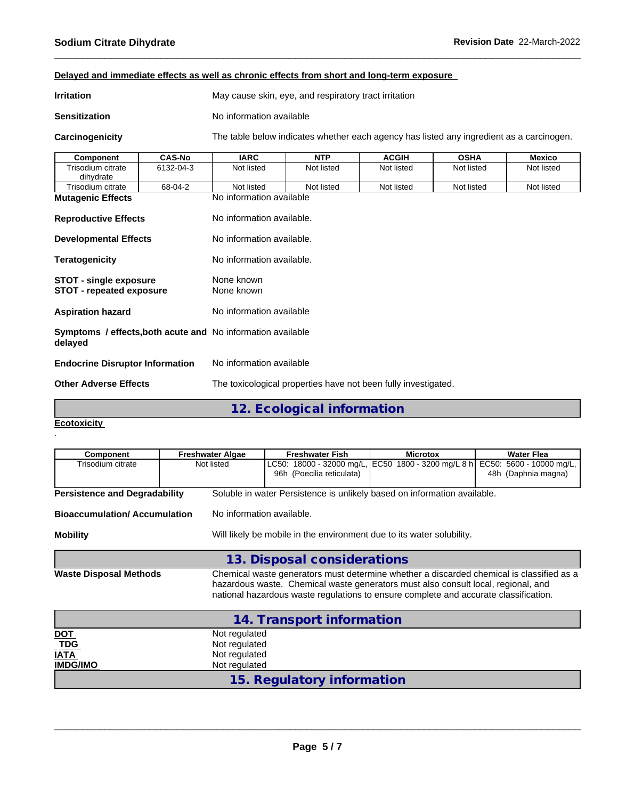## **Delayed and immediate effects as well as chronic effects from short and long-term exposure**

| <b>Irritation</b>    | May cause skin, eye, and respiratory tract irritation |
|----------------------|-------------------------------------------------------|
| <b>Sensitization</b> | No information available                              |

**Carcinogenicity** The table below indicateswhether each agency has listed any ingredient as a carcinogen.

| <b>Component</b>                                                       | <b>CAS-No</b> | <b>IARC</b>                                                    | <b>NTP</b> | <b>ACGIH</b> | <b>OSHA</b> | <b>Mexico</b> |
|------------------------------------------------------------------------|---------------|----------------------------------------------------------------|------------|--------------|-------------|---------------|
| Trisodium citrate<br>dihydrate                                         | 6132-04-3     | Not listed                                                     | Not listed | Not listed   | Not listed  | Not listed    |
| Trisodium citrate                                                      | 68-04-2       | Not listed                                                     | Not listed | Not listed   | Not listed  | Not listed    |
| <b>Mutagenic Effects</b>                                               |               | No information available                                       |            |              |             |               |
| <b>Reproductive Effects</b>                                            |               | No information available.                                      |            |              |             |               |
| <b>Developmental Effects</b>                                           |               | No information available.                                      |            |              |             |               |
| Teratogenicity                                                         |               | No information available.                                      |            |              |             |               |
| <b>STOT - single exposure</b><br><b>STOT - repeated exposure</b>       |               | None known<br>None known                                       |            |              |             |               |
| Aspiration hazard                                                      |               | No information available                                       |            |              |             |               |
| Symptoms / effects, both acute and No information available<br>delayed |               |                                                                |            |              |             |               |
| <b>Endocrine Disruptor Information</b>                                 |               | No information available                                       |            |              |             |               |
| <b>Other Adverse Effects</b>                                           |               | The toxicological properties have not been fully investigated. |            |              |             |               |
|                                                                        |               |                                                                |            |              |             |               |

**12. Ecological information**

#### **Ecotoxicity**  .

| Component                                                  | <b>Freshwater Algae</b>                                          | <b>Freshwater Fish</b>                                                                                                                                                                                                                                                | <b>Microtox</b>                                     | <b>Water Flea</b>                                  |  |  |  |  |  |  |
|------------------------------------------------------------|------------------------------------------------------------------|-----------------------------------------------------------------------------------------------------------------------------------------------------------------------------------------------------------------------------------------------------------------------|-----------------------------------------------------|----------------------------------------------------|--|--|--|--|--|--|
| Trisodium citrate                                          | Not listed                                                       | 96h (Poecilia reticulata)                                                                                                                                                                                                                                             | LC50: 18000 - 32000 mg/L, EC50 1800 - 3200 mg/L 8 h | 5600 - 10000 mg/L,<br>EC50:<br>48h (Daphnia magna) |  |  |  |  |  |  |
| <b>Persistence and Degradability</b>                       |                                                                  | Soluble in water Persistence is unlikely based on information available.                                                                                                                                                                                              |                                                     |                                                    |  |  |  |  |  |  |
| <b>Bioaccumulation/Accumulation</b>                        |                                                                  | No information available.                                                                                                                                                                                                                                             |                                                     |                                                    |  |  |  |  |  |  |
| <b>Mobility</b>                                            |                                                                  | Will likely be mobile in the environment due to its water solubility.                                                                                                                                                                                                 |                                                     |                                                    |  |  |  |  |  |  |
|                                                            |                                                                  | 13. Disposal considerations                                                                                                                                                                                                                                           |                                                     |                                                    |  |  |  |  |  |  |
| <b>Waste Disposal Methods</b>                              |                                                                  | Chemical waste generators must determine whether a discarded chemical is classified as a<br>hazardous waste. Chemical waste generators must also consult local, regional, and<br>national hazardous waste regulations to ensure complete and accurate classification. |                                                     |                                                    |  |  |  |  |  |  |
|                                                            |                                                                  | 14. Transport information                                                                                                                                                                                                                                             |                                                     |                                                    |  |  |  |  |  |  |
| <b>DOT</b><br><b>TDG</b><br><b>IATA</b><br><b>IMDG/IMO</b> | Not regulated<br>Not regulated<br>Not regulated<br>Not regulated |                                                                                                                                                                                                                                                                       |                                                     |                                                    |  |  |  |  |  |  |
|                                                            |                                                                  | 15. Regulatory information                                                                                                                                                                                                                                            |                                                     |                                                    |  |  |  |  |  |  |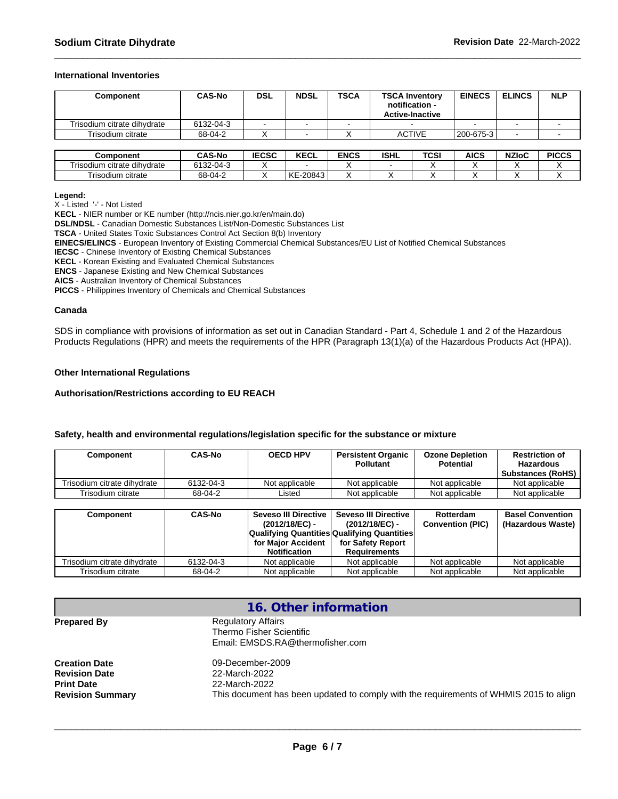#### **International Inventories**

| <b>Component</b>            | <b>CAS-No</b> | <b>DSL</b>   | <b>NDSL</b>              | <b>TSCA</b> |             | <b>TSCA Inventory</b><br>notification -<br><b>Active-Inactive</b> | <b>EINECS</b>    | <b>ELINCS</b> | <b>NLP</b>   |
|-----------------------------|---------------|--------------|--------------------------|-------------|-------------|-------------------------------------------------------------------|------------------|---------------|--------------|
| Trisodium citrate dihydrate | 6132-04-3     |              | $\overline{\phantom{a}}$ |             |             |                                                                   |                  |               |              |
| Trisodium citrate           | 68-04-2       |              |                          |             |             | <b>ACTIVE</b>                                                     | $1200 - 675 - 3$ |               |              |
|                             |               |              |                          |             |             |                                                                   |                  |               |              |
| Component                   | <b>CAS-No</b> | <b>IECSC</b> | <b>KECL</b>              | <b>ENCS</b> | <b>ISHL</b> | TCSI                                                              | <b>AICS</b>      | <b>NZIoC</b>  | <b>PICCS</b> |
| Trisodium citrate dihydrate | 6132-04-3     |              | $\overline{\phantom{a}}$ |             |             |                                                                   |                  |               |              |

Trisodium citrate 68-04-2 X KE-20843 X X X X X X

| Legend: |  |
|---------|--|
|         |  |

X - Listed '-' - Not Listed

**KECL** - NIER number or KE number (http://ncis.nier.go.kr/en/main.do)

**DSL/NDSL** - Canadian Domestic Substances List/Non-Domestic Substances List

**TSCA** - United States Toxic Substances Control Act Section 8(b) Inventory

**EINECS/ELINCS** - European Inventory of Existing Commercial Chemical Substances/EU List of Notified Chemical Substances

**IECSC** - Chinese Inventory of Existing Chemical Substances

**KECL** - Korean Existing and Evaluated Chemical Substances

**ENCS** - Japanese Existing and New Chemical Substances

**AICS** - Australian Inventory of Chemical Substances

**PICCS** - Philippines Inventory of Chemicals and Chemical Substances

#### **Canada**

SDS in compliance with provisions of information as set out in Canadian Standard - Part 4, Schedule 1 and 2 of the Hazardous Products Regulations (HPR) and meets the requirements of the HPR (Paragraph 13(1)(a) of the Hazardous Products Act (HPA)).

#### **Other International Regulations**

#### **Authorisation/Restrictions according to EU REACH**

#### **Safety, health and environmental regulations/legislation specific for the substance or mixture**

| Component                   | <b>CAS-No</b> | <b>OECD HPV</b> | <b>Persistent Organic</b><br><b>Pollutant</b> | <b>Ozone Depletion</b><br><b>Potential</b> | <b>Restriction of</b><br><b>Hazardous</b><br><b>Substances (RoHS)</b> |
|-----------------------------|---------------|-----------------|-----------------------------------------------|--------------------------------------------|-----------------------------------------------------------------------|
| Trisodium citrate dihydrate | 6132-04-3     | Not applicable  | Not applicable                                | Not applicable                             | Not applicable                                                        |
| Trisodium citrate           | 68-04-2       | _isted          | Not applicable                                | Not applicable                             | Not applicable                                                        |

| Component                   | <b>CAS-No</b> | Seveso III Directive                               | Seveso III Directive | Rotterdam               | <b>Basel Convention</b> |
|-----------------------------|---------------|----------------------------------------------------|----------------------|-------------------------|-------------------------|
|                             |               | (2012/18/EC) -                                     | (2012/18/EC) -       | <b>Convention (PIC)</b> | (Hazardous Waste)       |
|                             |               | <b>Qualifying Quantities Qualifying Quantities</b> |                      |                         |                         |
|                             |               | for Maior Accident                                 | for Safety Report    |                         |                         |
|                             |               | <b>Notification</b>                                | <b>Requirements</b>  |                         |                         |
| Trisodium citrate dihydrate | 6132-04-3     | Not applicable                                     | Not applicable       | Not applicable          | Not applicable          |
| Trisodium citrate           | 68-04-2       | Not applicable                                     | Not applicable       | Not applicable          | Not applicable          |

| 16. Other information                                                                 |
|---------------------------------------------------------------------------------------|
| <b>Regulatory Affairs</b>                                                             |
| Thermo Fisher Scientific                                                              |
| Email: EMSDS.RA@thermofisher.com                                                      |
| 09-December-2009                                                                      |
| 22-March-2022                                                                         |
| 22-March-2022                                                                         |
| This document has been updated to comply with the requirements of WHMIS 2015 to align |
|                                                                                       |